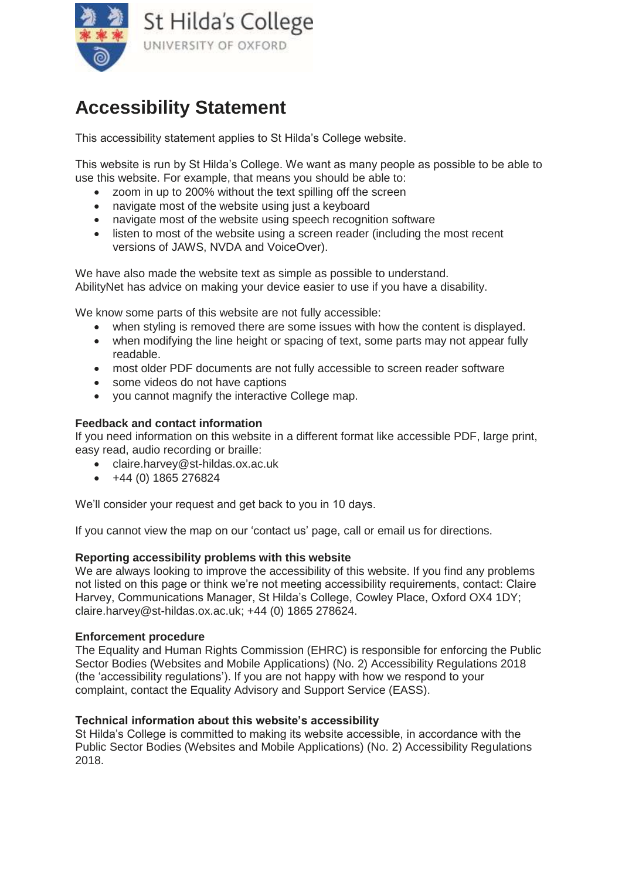

# **Accessibility Statement**

This accessibility statement applies to St Hilda's College website.

This website is run by St Hilda's College. We want as many people as possible to be able to use this website. For example, that means you should be able to:

- zoom in up to 200% without the text spilling off the screen
- navigate most of the website using just a keyboard
- navigate most of the website using speech recognition software
- listen to most of the website using a screen reader (including the most recent versions of JAWS, NVDA and VoiceOver).

We have also made the website text as simple as possible to understand. [AbilityNet](https://mcmw.abilitynet.org.uk/) has advice on making your device easier to use if you have a disability.

We know some parts of this website are not fully accessible:

- when styling is removed there are some issues with how the content is displayed.
- when modifying the line height or spacing of text, some parts may not appear fully readable.
- most older PDF documents are not fully accessible to screen reader software
- some videos do not have captions
- vou cannot magnify the interactive College map.

#### **Feedback and contact information**

If you need information on this website in a different format like accessible PDF, large print, easy read, audio recording or braille:

- claire.harvey@st-hildas.ox.ac.uk
- $+44(0)$  1865 276824

We'll consider your request and get back to you in 10 days.

If you cannot view the map on our 'contact us' page, [call or email us](https://www.st-hildas.ox.ac.uk/content/contact-us) for directions.

#### **Reporting accessibility problems with this website**

We are always looking to improve the accessibility of this website. If you find any problems not listed on this page or think we're not meeting accessibility requirements, contact: Claire Harvey, Communications Manager, St Hilda's College, Cowley Place, Oxford OX4 1DY; [claire.harvey@st-hildas.ox.ac.uk;](mailto:claire.harvey@st-hildas.ox.ac.uk) +44 (0) 1865 278624.

#### **Enforcement procedure**

The Equality and Human Rights Commission (EHRC) is responsible for enforcing the Public Sector Bodies (Websites and Mobile Applications) (No. 2) Accessibility Regulations 2018 (the 'accessibility regulations'). If you are not happy with how we respond to your complaint, [contact the Equality Advisory and Support Service \(EASS\).](https://www.equalityadvisoryservice.com/)

#### **Technical information about this website's accessibility**

St Hilda's College is committed to making its website accessible, in accordance with the Public Sector Bodies (Websites and Mobile Applications) (No. 2) Accessibility Regulations 2018.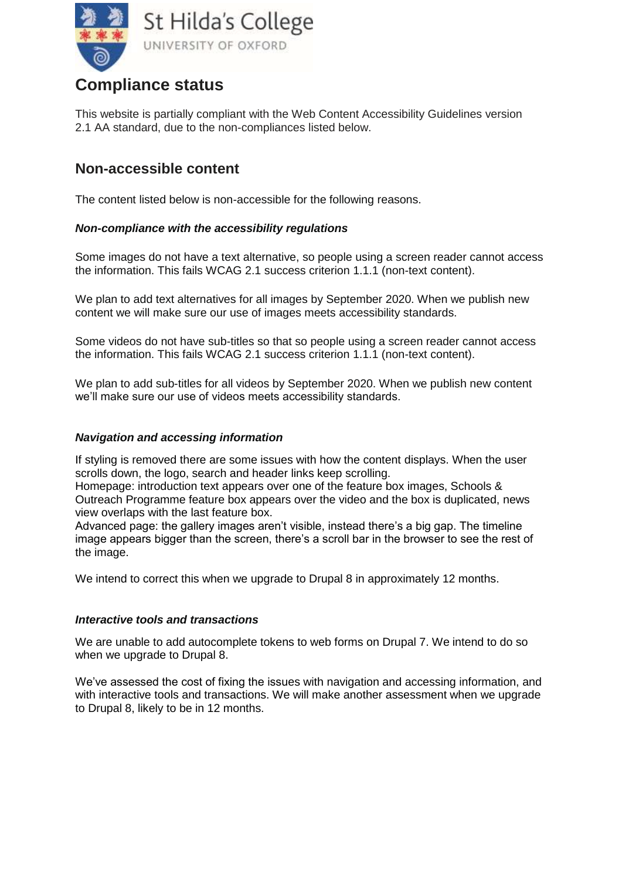

# **Compliance status**

This website is partially compliant with the [Web Content Accessibility Guidelines version](https://www.w3.org/TR/WCAG21/)  [2.1](https://www.w3.org/TR/WCAG21/) AA standard, due to the non-compliances listed below.

### **Non-accessible content**

The content listed below is non-accessible for the following reasons.

#### *Non-compliance with the accessibility regulations*

Some images do not have a text alternative, so people using a screen reader cannot access the information. This fails WCAG 2.1 success criterion 1.1.1 (non-text content).

We plan to add text alternatives for all images by September 2020. When we publish new content we will make sure our use of images meets accessibility standards.

Some videos do not have sub-titles so that so people using a screen reader cannot access the information. This fails WCAG 2.1 success criterion 1.1.1 (non-text content).

We plan to add sub-titles for all videos by September 2020. When we publish new content we'll make sure our use of videos meets accessibility standards.

#### *Navigation and accessing information*

If styling is removed there are some issues with how the content displays. When the user scrolls down, the logo, search and header links keep scrolling.

Homepage: introduction text appears over one of the feature box images, Schools & Outreach Programme feature box appears over the video and the box is duplicated, news view overlaps with the last feature box.

Advanced page: the gallery images aren't visible, instead there's a big gap. The timeline image appears bigger than the screen, there's a scroll bar in the browser to see the rest of the image.

We intend to correct this when we upgrade to Drupal 8 in approximately 12 months.

#### *Interactive tools and transactions*

We are unable to add autocomplete tokens to web forms on Drupal 7. We intend to do so when we upgrade to Drupal 8.

We've assessed the cost of fixing the issues with navigation and accessing information, and with interactive tools and transactions. We will make another assessment when we upgrade to Drupal 8, likely to be in 12 months.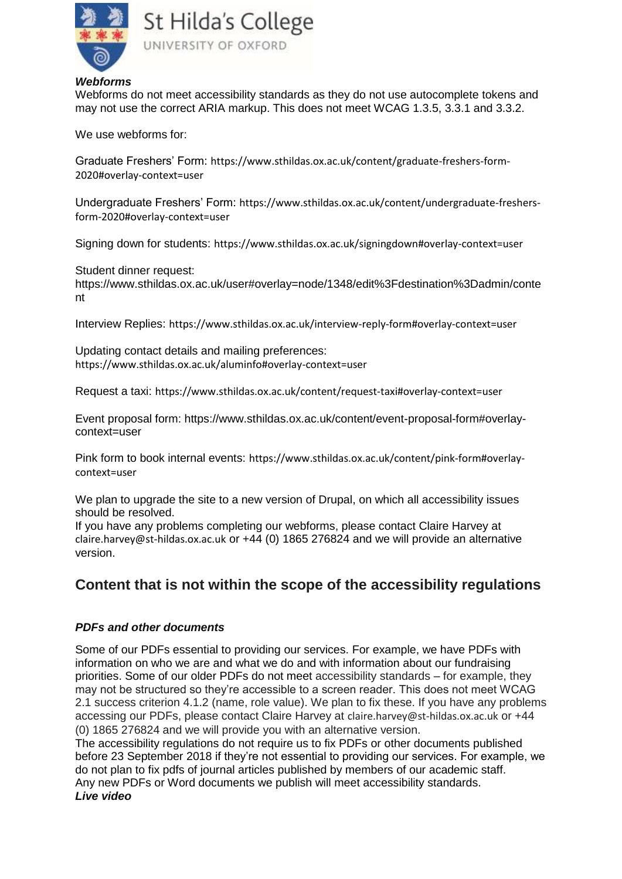

St Hilda's College UNIVERSITY OF OXFORD

#### *Webforms*

Webforms do not meet accessibility standards as they do not use autocomplete tokens and may not use the correct ARIA markup. This does not meet WCAG 1.3.5, 3.3.1 and 3.3.2.

We use webforms for:

Graduate Freshers' Form: [https://www.sthildas.ox.ac.uk/content/graduate-freshers-form-](https://www.sthildas.ox.ac.uk/content/graduate-freshers-form-2020#overlay-context=user)[2020#overlay-context=user](https://www.sthildas.ox.ac.uk/content/graduate-freshers-form-2020#overlay-context=user)

Undergraduate Freshers' Form: [https://www.sthildas.ox.ac.uk/content/undergraduate-freshers](https://www.sthildas.ox.ac.uk/content/undergraduate-freshers-form-2020#overlay-context=user)[form-2020#overlay-context=user](https://www.sthildas.ox.ac.uk/content/undergraduate-freshers-form-2020#overlay-context=user)

Signing down for students: <https://www.sthildas.ox.ac.uk/signingdown#overlay-context=user>

Student dinner request:

https://www.sthildas.ox.ac.uk/user#overlay=node/1348/edit%3Fdestination%3Dadmin/conte nt

Interview Replies: <https://www.sthildas.ox.ac.uk/interview-reply-form#overlay-context=user>

Updating contact details and mailing preferences: <https://www.sthildas.ox.ac.uk/aluminfo#overlay-context=user>

Request a taxi: <https://www.sthildas.ox.ac.uk/content/request-taxi#overlay-context=user>

Event proposal form: https://www.sthildas.ox.ac.uk/content/event-proposal-form#overlaycontext=user

Pink form to book internal events: [https://www.sthildas.ox.ac.uk/content/pink-form#overlay](https://www.sthildas.ox.ac.uk/content/pink-form#overlay-context=user)[context=user](https://www.sthildas.ox.ac.uk/content/pink-form#overlay-context=user)

We plan to upgrade the site to a new version of Drupal, on which all accessibility issues should be resolved.

If you have any problems completing our webforms, please contact Claire Harvey at [claire.harvey@st-hildas.ox.ac.uk](mailto:claire.harvey@st-hildas.ox.ac.uk) or +44 (0) 1865 276824 and we will provide an alternative version.

### **Content that is not within the scope of the accessibility regulations**

#### *PDFs and other documents*

Some of our PDFs essential to providing our services. For example, we have PDFs with information on who we are and what we do and with information about our fundraising priorities. Some of our older PDFs do not meet accessibility standards – for example, they may not be structured so they're accessible to a screen reader. This does not meet WCAG 2.1 success criterion 4.1.2 (name, role value). We plan to fix these. If you have any problems accessing our PDFs, please contact Claire Harvey at [claire.harvey@st-hildas.ox.ac.uk](mailto:claire.harvey@st-hildas.ox.ac.uk) or +44 (0) 1865 276824 and we will provide you with an alternative version.

The accessibility regulations [do not require us to fix PDFs or other documents published](http://www.legislation.gov.uk/uksi/2018/952/regulation/4/made)  [before 23 September 2018](http://www.legislation.gov.uk/uksi/2018/952/regulation/4/made) if they're not essential to providing our services. For example, we do not plan to fix pdfs of journal articles published by members of our academic staff. Any new PDFs or Word documents we publish will meet accessibility standards. *Live video*